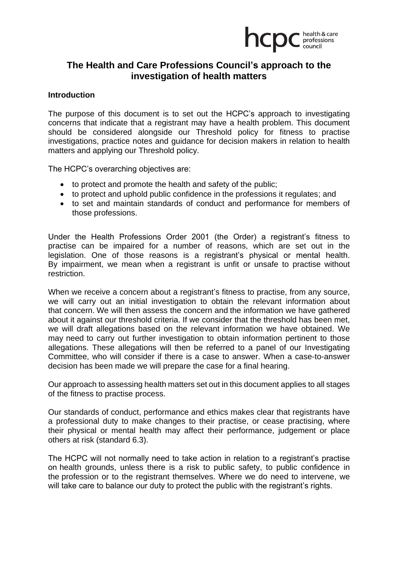

# **The Health and Care Professions Council's approach to the investigation of health matters**

#### **Introduction**

The purpose of this document is to set out the HCPC's approach to investigating concerns that indicate that a registrant may have a health problem. This document should be considered alongside our Threshold policy for fitness to practise investigations, practice notes and guidance for decision makers in relation to health matters and applying our Threshold policy.

The HCPC's overarching objectives are:

- to protect and promote the health and safety of the public;
- to protect and uphold public confidence in the professions it regulates; and
- to set and maintain standards of conduct and performance for members of those professions.

Under the Health Professions Order 2001 (the Order) a registrant's fitness to practise can be impaired for a number of reasons, which are set out in the legislation. One of those reasons is a registrant's physical or mental health. By impairment, we mean when a registrant is unfit or unsafe to practise without restriction.

When we receive a concern about a registrant's fitness to practise, from any source, we will carry out an initial investigation to obtain the relevant information about that concern. We will then assess the concern and the information we have gathered about it against our threshold criteria. If we consider that the threshold has been met, we will draft allegations based on the relevant information we have obtained. We may need to carry out further investigation to obtain information pertinent to those allegations. These allegations will then be referred to a panel of our Investigating Committee, who will consider if there is a case to answer. When a case-to-answer decision has been made we will prepare the case for a final hearing.

Our approach to assessing health matters set out in this document applies to all stages of the fitness to practise process.

Our standards of conduct, performance and ethics makes clear that registrants have a professional duty to make changes to their practise, or cease practising, where their physical or mental health may affect their performance, judgement or place others at risk (standard 6.3).

The HCPC will not normally need to take action in relation to a registrant's practise on health grounds, unless there is a risk to public safety, to public confidence in the profession or to the registrant themselves. Where we do need to intervene, we will take care to balance our duty to protect the public with the registrant's rights.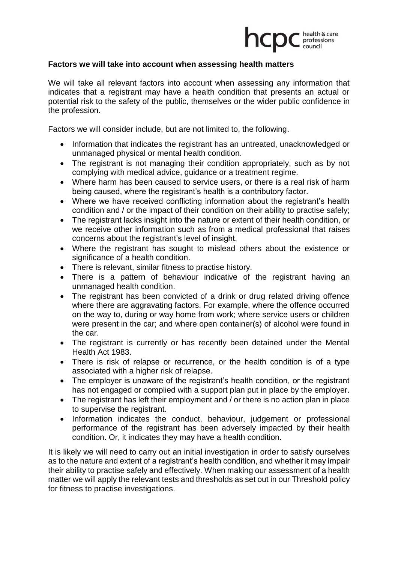

## **Factors we will take into account when assessing health matters**

We will take all relevant factors into account when assessing any information that indicates that a registrant may have a health condition that presents an actual or potential risk to the safety of the public, themselves or the wider public confidence in the profession.

Factors we will consider include, but are not limited to, the following.

- Information that indicates the registrant has an untreated, unacknowledged or unmanaged physical or mental health condition.
- The registrant is not managing their condition appropriately, such as by not complying with medical advice, guidance or a treatment regime.
- Where harm has been caused to service users, or there is a real risk of harm being caused, where the registrant's health is a contributory factor.
- Where we have received conflicting information about the registrant's health condition and / or the impact of their condition on their ability to practise safely;
- The registrant lacks insight into the nature or extent of their health condition, or we receive other information such as from a medical professional that raises concerns about the registrant's level of insight.
- Where the registrant has sought to mislead others about the existence or significance of a health condition.
- There is relevant, similar fitness to practise history.
- There is a pattern of behaviour indicative of the registrant having an unmanaged health condition.
- The registrant has been convicted of a drink or drug related driving offence where there are aggravating factors. For example, where the offence occurred on the way to, during or way home from work; where service users or children were present in the car; and where open container(s) of alcohol were found in the car.
- The registrant is currently or has recently been detained under the Mental Health Act 1983.
- There is risk of relapse or recurrence, or the health condition is of a type associated with a higher risk of relapse.
- The employer is unaware of the registrant's health condition, or the registrant has not engaged or complied with a support plan put in place by the employer.
- The registrant has left their employment and / or there is no action plan in place to supervise the registrant.
- Information indicates the conduct, behaviour, judgement or professional performance of the registrant has been adversely impacted by their health condition. Or, it indicates they may have a health condition.

It is likely we will need to carry out an initial investigation in order to satisfy ourselves as to the nature and extent of a registrant's health condition, and whether it may impair their ability to practise safely and effectively. When making our assessment of a health matter we will apply the relevant tests and thresholds as set out in our Threshold policy for fitness to practise investigations.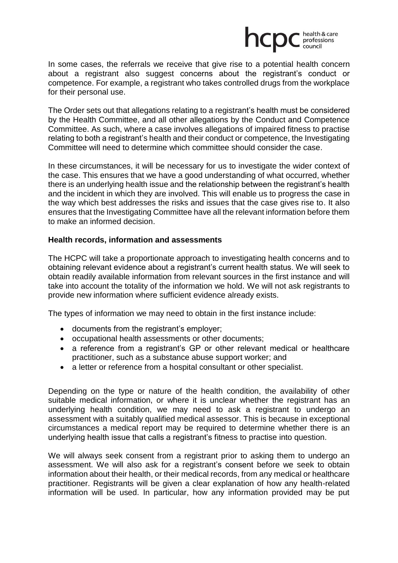

In some cases, the referrals we receive that give rise to a potential health concern about a registrant also suggest concerns about the registrant's conduct or competence. For example, a registrant who takes controlled drugs from the workplace for their personal use.

The Order sets out that allegations relating to a registrant's health must be considered by the Health Committee, and all other allegations by the Conduct and Competence Committee. As such, where a case involves allegations of impaired fitness to practise relating to both a registrant's health and their conduct or competence, the Investigating Committee will need to determine which committee should consider the case.

In these circumstances, it will be necessary for us to investigate the wider context of the case. This ensures that we have a good understanding of what occurred, whether there is an underlying health issue and the relationship between the registrant's health and the incident in which they are involved. This will enable us to progress the case in the way which best addresses the risks and issues that the case gives rise to. It also ensures that the Investigating Committee have all the relevant information before them to make an informed decision.

## **Health records, information and assessments**

The HCPC will take a proportionate approach to investigating health concerns and to obtaining relevant evidence about a registrant's current health status. We will seek to obtain readily available information from relevant sources in the first instance and will take into account the totality of the information we hold. We will not ask registrants to provide new information where sufficient evidence already exists.

The types of information we may need to obtain in the first instance include:

- documents from the registrant's employer;
- occupational health assessments or other documents;
- a reference from a registrant's GP or other relevant medical or healthcare practitioner, such as a substance abuse support worker; and
- a letter or reference from a hospital consultant or other specialist.

Depending on the type or nature of the health condition, the availability of other suitable medical information, or where it is unclear whether the registrant has an underlying health condition, we may need to ask a registrant to undergo an assessment with a suitably qualified medical assessor. This is because in exceptional circumstances a medical report may be required to determine whether there is an underlying health issue that calls a registrant's fitness to practise into question.

We will always seek consent from a registrant prior to asking them to undergo an assessment. We will also ask for a registrant's consent before we seek to obtain information about their health, or their medical records, from any medical or healthcare practitioner. Registrants will be given a clear explanation of how any health-related information will be used. In particular, how any information provided may be put